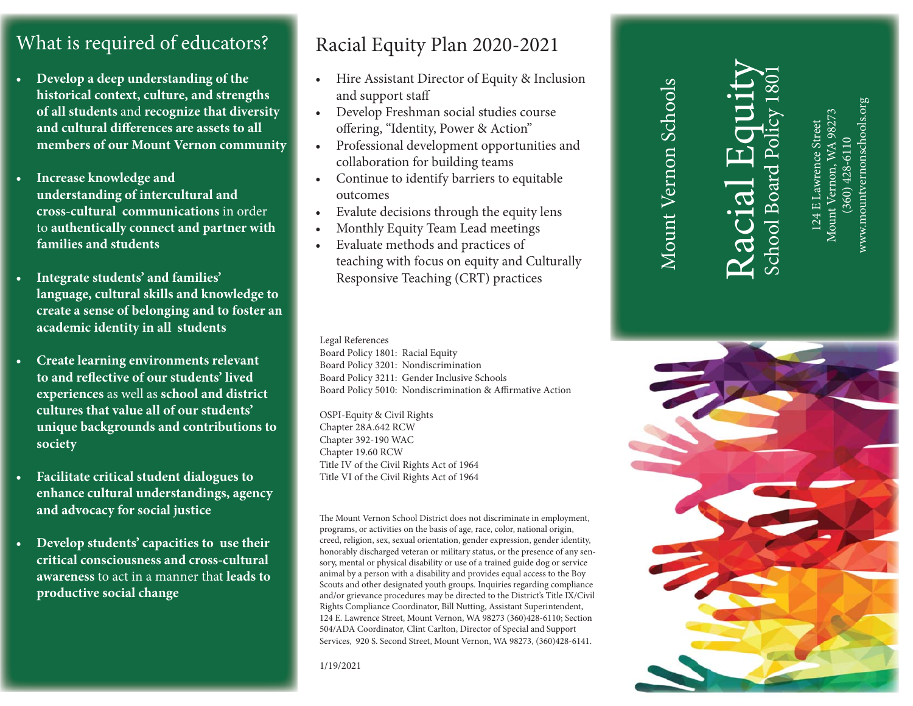# What is required of educators?

- **Develop a deep understanding of the historical context, culture, and strengths of all students** and **recognize that diversity**  and cultural differences are assets to all **members of our Mount Vernon community**
- **Increase knowledge and understanding of intercultural and cross-cultural communications** in order to **authentically connect and partner with families and students**
- **Integrate students' and families' language, cultural skills and knowledge to create a sense of belonging and to foster an academic identity in all students**
- **Create learning environments relevant**  to and reflective of our students' lived **experiences** as well as **school and district cultures that value all of our students' unique backgrounds and contributions to society**
- **Facilitate critical student dialogues to enhance cultural understandings, agency and advocacy for social justice**
- **Develop students' capacities to use their critical consciousness and cross-cultural awareness** to act in a manner that **leads to productive social change**

# Racial Equity Plan 2020-2021

- 
- 
- 
- 
- 
- 
- Hire Assistant Director of Equity & Inclusion<br>
and support staff<br>
 Develop Freshman social studies course<br>
offering, "Identity, Power & Action"<br>
 Professional development opportunities and<br>
collaboration for building t

Legal References Board Policy 1801: Racial Equity Board Policy 3201: Nondiscrimination Board Policy 3211: Gender Inclusive Schools Board Policy 5010: Nondiscrimination & Affirmative Action

OSPI-Equity & Civil Rights Chapter 28A.642 RCW Chapter 392-190 WAC Chapter 19.60 RCW Title IV of the Civil Rights Act of 1964 Title VI of the Civil Rights Act of 1964

The Mount Vernon School District does not discriminate in employment, programs, or activities on the basis of age, race, color, national origin, creed, religion, sex, sexual orientation, gender expression, gender identity, honorably discharged veteran or military status, or the presence of any sensory, mental or physical disability or use of a trained guide dog or service animal by a person with a disability and provides equal access to the Boy Scouts and other designated youth groups. Inquiries regarding compliance and/or grievance procedures may be directed to the District's Title IX/Civil Rights Compliance Coordinator, Bill Nutting, Assistant Superintendent, 124 E. Lawrence Street, Mount Vernon, WA 98273 (360)428-6110; Section 504/ADA Coordinator, Clint Carlton, Director of Special and Support Services, 920 S. Second Street, Mount Vernon, WA 98273, (360)428-6141.

1/19/2021

# Racial Equity

Mount Vernon Schools

www.mountvernonschools.org www.mountvernonschools.org Mount Vernon, WA 98273 Mount Vernon, WA 98273 124 E Lawrence Street 124 E Lawrence Street  $(360)$  428-6110 (360) 428-6110